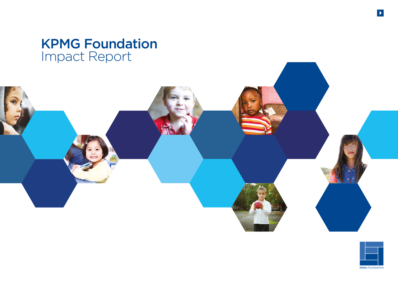# KPMG Foundation Impact Report







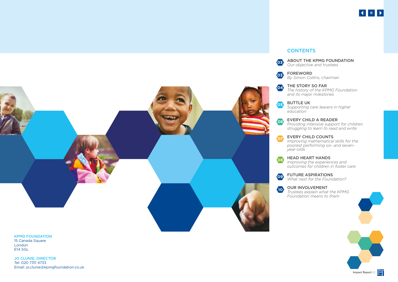

ABOUT THE KPMG FOUNDATION *Our objective and trustees*

*By Simon Collins, chairman* 

THE STORY SO FAR *The history of the KPMG Foundation and its major milestones*

*Supporting care leavers in higher* 

#### EVERY CHILD A READER

*Providing intensive support for children struggling to learn to read and write* 



#### EVERY CHILD COUNTS

*Improving mathematical skills for the poorest performing six- and seven-*

#### HEAD HEART HANDS

*Improving the experiences and outcomes for children in foster care*

#### FUTURE ASPIRATIONS

*What next for the Foundation?*

#### OUR INVOLVEMENT

*Trustees explain what the KPMG Foundation means to them* 

KPMG FOUNDATION

15 Canada Square London E14 5GL

JO CLUNIE, DIRECTOR Tel: 020 7311 4733 Email: jo.clunie@kpmgfoundation.co.uk

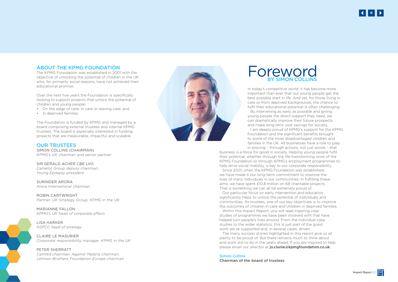# **Foreword** BY SIMON COLLINS

In today's competitive world, it has become more By intervening as early as possible and giving I am deeply proud of KPMG's support for the KPMG

important than ever that our young people get the best possible start in life. And yet, for those living in care or from deprived backgrounds, the chance to fulfil their educational potential is often challenging. young people the direct support they need, we can dramatically improve their future prospects and make long-term cost savings for society. Foundation and the significant benefits brought to some of the most disadvantaged children and families in the UK. All businesses have a role to play in proving – through actions, not just words – that business is a force for good in society. Helping young people fulfil their potential, whether through the life-transforming work of the KPMG Foundation or through KPMG's employment programmes to help drive social mobility, is key to our corporate responsibility. Since 2001, when the KPMG Foundation was established, we have made it our long-term commitment to improve the lives of many individuals in our communities. In fulfilling these aims, we have spent £10.8 million on 68 charitable projects. That is something we can all be extremely proud of. Our particular focus on early intervention and education significantly helps to unlock the potential of individuals and communities. As trustees, one of our key objectives is to improve the outcomes of children in care and children in deprived families. Within this Impact Report, you will read inspiring case studies of programmes we have been involved with that have helped turn people's lives around. From the individual case studies to the wider statistics, this is just part of the good work we've supported and, in several cases, driven. The many success stories highlighted in this report give us all and work still to do in the years ahead. If you are inspired to help,

Over the next five years the Foundation is specifically looking to support projects that unlock the potential of children and young people:<br>• On the edge of care, in care or leaving care; and

> plenty to be proud of. But there remains much to think about please email our director at jo.clunie@kpmgfoundation.co.uk.

Simon Collins Chairman of the board of trustees

### ABOUT THE KPMG FOUNDATION

The KPMG Foundation was established in 2001 with the objective of unlocking the potential of children in the UK who, for primarily social reasons, have not achieved their educational promise.

- 
- In deprived families.

The Foundation is funded by KPMG and managed by a board comprising external trustees and internal KPMG trustees. The board is especially interested in funding projects that are measurable, impactful and scalable.

#### OUR TRUSTEES

SIMON COLLINS (CHAIRMAN) *KPMG's UK chairman and senior partner*

SIR GERALD ACHER CBE LVO *Camelot Group deputy chairman, Young Epilepsy president*

SURINDER ARORA *Arora International chairman*

ROBIN CARTWRIGHT *Partner, UK Strategy Group, KPMG in the UK*

MARIANNE FALLON *KPMG's UK head of corporate affairs* 

LISA HARKER *NSPCC head of strategy* 

CLAIRE LE MASURIER *Corporate responsibility manager, KPMG in the UK*

PETER SHERRATT *Camfed chairman, Against Malaria chairman, Lehman Brothers Foundation Europe chairman*





**Impact Report 3** 

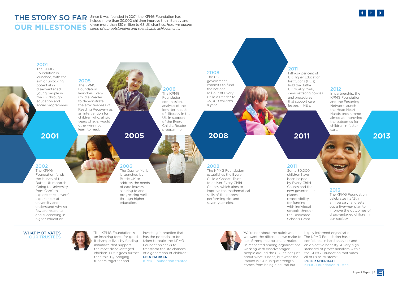

"We're not about the quick win – we want the difference we make to The KPMG Foundation has a last. Strong measurement makes us respected among organisations an objective honesty. A very high working with disadvantaged people around the UK. It's not just the KPMG Foundation motivates about what is done, but what the impact is. Our unique strength comes from being a neutral but highly informed organisation. confidence in hard analytics and standard of professionalism within all of us as trustees." **PETER SHERRATT** KPMG Foundation trustee

"The KPMG Foundation is an inspiring force for good. It changes lives by funding initiatives that support the most disadvantaged children. But it goes further than this. By bringing funders together and

investing in practice that has the potential to be taken to scale, the KPMG Foundation seeks to transform the life chances of a generation of children." **LISA HARKER** KPMG Foundation trustee



# **OUR MILESTONES**

#### 2001

The KPMG Foundation is launched, with the aim of unlocking potential in disadvantaged young people in the UK through education and social programmes.

#### 2002

The KPMG Foundation funds the launch of the Buttle UK research 'Going to University from Care', to explore care leavers' experiences at university and understand why so few are reaching and succeeding in higher education.

2005 The KPMG Foundation launches Every Child a Reader to demonstrate the effectiveness of Reading Recovery as an intervention for children who, at six years of age, would

> otherwise not learn to read.

2006

THE STORY SO FAR Since it was founded in 2001, the KPMG Foundation has helped more than 30,000 children improve their literacy and given more than £10 million to 68 UK charities. *Here we outline some of our outstanding and sustainable achievements:*

> The Quality Mark is launched by Buttle UK to address the needs of care leavers in aspiring to and progressing well through higher education.

### 2008

The KPMG Foundation establishes the Every Child a Chance Trust to deliver Every Child Counts, which aims to improve the mathematical skills of the poorest performing six- and seven-year-olds.

#### 2008 The UK

government commits to fund the national roll-out of Every Child a Reader to 35,000 children a year.

2011 Some 30,000

children have been helped by Every Child Counts and the new government places responsibility for funding with individual schools through the Dedicated Schools Grant.

#### 2011

Fifty-six per cent of UK Higher Education Institutions (HEIs) UK Quality Mark, demonstrating policies that support care

hold the Buttle and procedures leavers in HEIs.

#### 2012

In partnership, the KPMG Foundation and the Fostering Network launch the Head Heart Hands programme – aimed at improving the outcomes for children in foster care.

#### 2013

The KPMG Foundation celebrates its 12th anniversary and sets out a five-year plan to improve the outcomes of disadvantaged children in our society.

#### WHAT MOTIVATES OUR TRUSTEES



# 2006

The KPMG Foundation commissions analysis of the long-term cost of illiteracy in the UK in support of the Every Child a Reader programme.

# **2001 2005 2008 2011 2013**

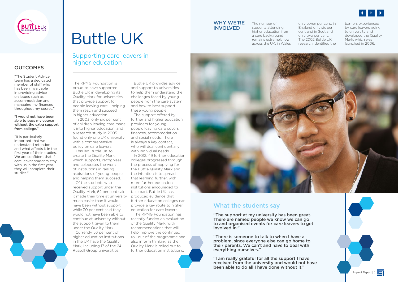

### **OUTCOMES**



The KPMG Foundation is proud to have supported Buttle UK in developing its Quality Mark for universities that provide support for people leaving care – helping them reach and succeed in higher education.

In 2003, only six per cent of children leaving care made it into higher education, and a research study in 2005 found only one UK university with a comprehensive policy on care leavers.

This led Buttle UK to create the Quality Mark, which supports, recognises and celebrates the work of institutions in raising aspirations of young people and helping them succeed.

Of the students who received support under the Quality Mark, 62 per cent said it made their time at university much easier than it would have been without support, while 30 per cent said they would not have been able to continue at university without the support given to them under the Quality Mark.

Currently 56 per cent of higher education institutions in the UK have the Quality Mark, including 17 of the 24 Russell Group universities.

Buttle UK provides advice and support to universities to help them understand the challenges faced by young people from the care system and how to best support these young people.

The support offered by further and higher education providers for young people leaving care covers finances, accommodation and social needs. There is always a key contact, who will deal confidentially with individual needs.

In 2012, 49 further education colleges progressed through the process of applying for the Buttle Quality Mark and the intention is to spread that learning further, with more further education institutions encouraged to take part. Buttle UK has produced evidence that further education colleges can provide a key route to higher education for care leavers.

The KPMG Foundation has recently funded an evaluation of the Quality Mark, with recommendations that will help improve the continued roll-out of the programme and also inform thinking as the Quality Mark is rolled out to further education institutions.

## Supporting care leavers in higher education

# Buttle UK

"The Student Advice team has a dedicated member of staff who has been invaluable in providing advice on issues such as accommodation and managing my finances throughout my course."

#### "I would not have been able to pass my course without the extra support from college."

"It is particularly important that we understand retention and what affects it in the first year of their studies. We are confident that if care leaver students stay with us in the first year, they will complete their studies."

The number of students attending higher education from a care background remains extremely low across the UK: in Wales



only seven per cent, in England only six per cent and in Scotland only two per cent. The 2002 Buttle UK research identified the barriers experienced by care leavers going to university and developed the Quality Mark, which was launched in 2006.

## What the students say

"The support at my university has been great. There are named people we know we can go to and organised events for care leavers to get involved in."

"There is someone to talk to when I have a problem, since everyone else can go home to their parents. We can't and have to deal with everything ourselves."

"I am really grateful for all the support I have received from the university and would not have been able to do all I have done without it."

#### WHY WE'RE INVOLVED

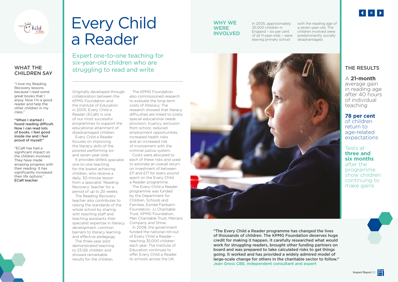## THE RESULTS

### A **21-month**

average gain in reading age after 40 hours of individual teaching

## **78 per cent**

of children return to age-related expectations

#### Tests at **three and six months** after the programme show children continuing to make gains



Originally developed through collaboration between the KPMG Foundation and the Institute of Education in 2005, Every Child a Reader (ECaR) is one of our most successful programmes to support the educational attainment of disadvantaged children. Every Child a Reader

focuses on improving the literacy skills of the poorest performing sixand seven-year-olds.

It provides skilled, specialist one-to-one teaching for the lowest achieving children, who receive a daily, 30-minute lesson from a specialist 'Reading Recovery' teacher for a period of up to 20 weeks.

The Reading Recovery teacher also contributes to raising the standards of the whole school by sharing with teaching staff and teaching assistants their specialist expertise in literacy development, common barriers to literacy learning and effective pedagogy.

The three-year pilot demonstrated teaching to 23,126 children and showed remarkable results for the children.

The KPMG Foundation also commissioned research to evaluate the long-term costs of illiteracy. The research showed that literacy difficulties are linked to costly special educational needs provision, truancy, exclusion from school, reduced employment opportunities, increased health risks and an increased risk of involvement with the criminal justice system.

Costs were allocated to each of these risks and used to estimate an overall return on investment of between £11 and £17 for every pound spent on the Every Child a Reader programme.

The Every Child a Reader programme was funded by the Department for Children, Schools and Families, Esmée Fairbairn Foundation, JJ Charitable Trust, KPMG Foundation, Man Charitable Trust, Mercers Company and Shine.

In 2008, the government funded the national roll-out of Every Child a Reader – reaching 35,000 children each year. The Institute of Education continues to offer Every Child a Reader to schools across the UK.

Expert one-to-one teaching for six-year-old children who are struggling to read and write

# Every Child a Reader

"The Every Child a Reader programme has changed the lives of thousands of children. The KPMG Foundation deserves huge credit for making it happen. It carefully researched what would work for struggling readers, brought other funding partners on board and was prepared to take calculated risks to get things going. It worked and has provided a widely admired model of large-scale change for others in the charitable sector to follow." Jean Gross CBE, independent consultant and expert

In 2005, approximately 35,000 children in England – six per cent of all 11-year-olds – were leaving primary school



with the reading age of a seven-year-old. The children involved were predominantly socially disadvantaged.

### WHY WE **WERE** INVOLVED



#### WHAT THE CHILDREN SAY

"I love my Reading Recovery lessons because I read some great books that I enjoy. Now I'm a good reader and help the other children in my class."

"When I started I found reading difficult. Now I can read lots of books. I feel good inside me and I feel proud of myself."

"ECaR has had a significant impact on the children involved. They have made amazing progress with their reading. It has significantly increased their life options." ECaR teacher



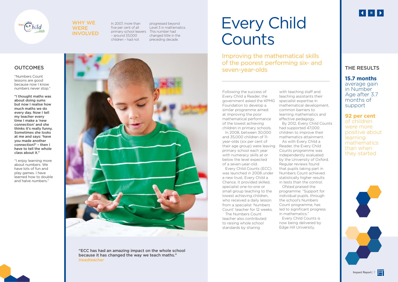### THE RESULTS

### **15.7 months**

average gain in Number Age after 3.7 months of support

## **92 per cent**

of children were more positive about learning mathematics than when they started



Following the success of Every Child a Reader, the government asked the KPMG Foundation to develop a similar programme aimed at improving the poor mathematical performance of the lowest achieving children in primary schools.

In 2008, between 30,000 and 35,000 children of 11 year-olds (six per cent of their age group) were leaving primary school each year with numeracy skills at or below the level expected of a seven-year-old.

Every Child Counts (ECC) was launched in 2008 under a new trust, Every Child a Chance. It provided skilled, specialist one-to-one or small group teaching to the lowest achieving children, who received a daily lesson from a specialist 'Numbers Count' teacher for 12 weeks.

# Every Child **Counts**

The Numbers Count teacher also contributed to raising whole school standards by sharing

with teaching staff and teaching assistants their specialist expertise in mathematical development, common barriers to learning mathematics and effective pedagogy. By 2012, Every Child Counts had supported 47,000 children to improve their mathematics attainment. As with Every Child a Reader, the Every Child Counts programme was independently evaluated by the University of Oxford. Regular reviews found that pupils taking part in Numbers Count achieved statistically higher results in tests than the control. Ofsted praised the programme: "Support for individual pupils, through the school's Numbers Count programme, has led to significant progress in mathematics." now being delivered by

Every Child Counts is

Edge Hill University.

## **OUTCOMES**

Improving the mathematical skills of the poorest performing six- and seven-year-olds

"Numbers Count lessons are good because now I know numbers never stop."

"I thought maths was about doing sums but now I realise how much maths we do every day. Now I tell my teacher every time I make a 'new connection' and she thinks it's really funny. Sometimes she looks at me and says: 'have you made another connection?' – then I have to tell the whole class about it."

"I enjoy learning more about numbers. We have lots of fun and play games. I have learned how to double and halve numbers."





#### WHY WE **WERE** INVOLVED

In 2007, more than five per cent of all primary school leavers This number had – around 33,000 children – had not

progressed beyond Level 3 in mathematics. changed little in the preceding decade.



"ECC has had an amazing impact on the whole school because it has changed the way we teach maths." Headteacher

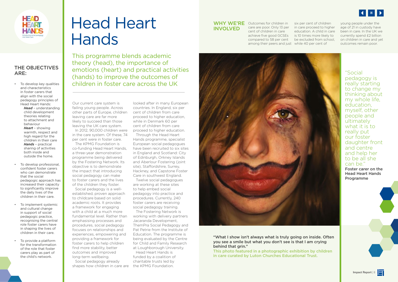This photo featured in a photographic exhibition by children in care curated by Luton Churches Educational Trust.

Our current care system is failing young people. Across other parts of Europe, children leaving care are far more likely to succeed than those leaving the UK care system.

In 2012, 90,000 children were in the care system. Of these, 74 per cent were in foster care.

The KPMG Foundation is co-funding Head Heart Hands, a three-year demonstration programme being delivered by the Fostering Network. Its objective is to demonstrate the impact that introducing social pedagogy can make to foster carers and the lives of the children they foster.

Social pedagogy is a wellestablished, proven approach to childcare based on solid academic roots. It provides a framework for engaging with a child at a much more fundamental level. Rather than emphasising processes and procedures, social pedagogy focuses on relationships and experiences, empowering and providing a framework for foster carers to help children find more stability, better outcomes and improved long-term wellbeing.

Social pedagogy already shapes how children in care are

looked after in many European countries. In England, six per cent of children from care proceed to higher education, while in Denmark 60 per cent of children from care proceed to higher education.

Through the Head Heart Hands programme, specialist European social pedagogues have been recruited to six sites in England and Scotland: City of Edinburgh, Orkney Islands and Aberlour Fostering (joint site), Staffordshire, Surrey, Hackney, and Capstone Foster Care in southwest England.

#### WHY WE'RE Outcomes for children in INVOLVED

Twelve social pedagogues are working at these sites to help embed social pedagogy into practice and procedures. Currently, 240 foster carers are receiving social pedagogy training.

The Fostering Network is working with delivery partners Jacaranda Development, ThemPra Social Pedagogy and Pat Petrie from the Institute of Education. The programme is being evaluated by the Centre for Child and Family Research at Loughborough University.

Head Heart Hands is funded by a coalition of charitable trusts led by the KPMG Foundation.

This programme blends academic theory (head), the importance of emotions (heart) and practical activities (hands) to improve the outcomes of children in foster care across the UK

# Head Heart Hands

"Social pedagogy is really starting to change my thinking about my whole life, education, myself, other people and ultimately what it is to really put our foster daughter front and centre and help her to be all she can be."

Foster carer on the Head Heart Hands Programme





care are poor. Only 13 per cent of children in care achieve five good GCSEs compared to 58 per cent among their peers and just while 40 per cent of



"What I show isn't always what is truly going on inside. Often you see a smile but what you don't see is that I am crying behind that grin."

six per cent of children in care proceed to higher education. A child in care is 10 times more likely to be excluded from school,

young people under the age of 21 in custody have been in care. In the UK we currently spend £2 billion on children in care and yet outcomes remain poor.



### THE OBJECTIVES ARE:

• To develop key qualities and characteristics in foster carers that align with the social pedagogy principles of Head Heart Hands:

*Head* – understanding child development theories relating to attachment and behaviour *Heart* – showing warmth, respect and high regard for the children in their care *Hands* – practical sharing of activities both inside and outside the home.

- To develop professional, confident foster carers who can demonstrate that the social pedagogic approach has increased their capacity to significantly improve the daily lives of the children in their care.
- To implement systemic and cultural change in support of social pedagogic practice, recognising the central role foster carers have in shaping the lives of children in their care.
- To provide a platform for the transformation of the role that foster carers play as part of the child's network.

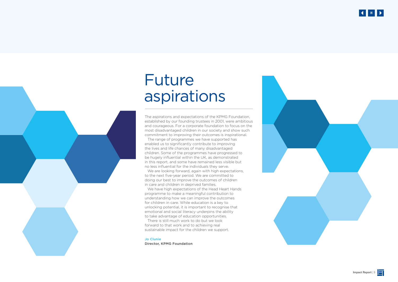The aspirations and expectations of the KPMG Foundation, established by our founding trustees in 2001, were ambitious and courageous. For a corporate foundation to focus on the most disadvantaged children in our society and show such commitment to improving their outcomes is inspirational.

We are looking forward, again with high expectations, to the next five-year period. We are committed to doing our best to improve the outcomes of children in care and children in deprived families.

The range of programmes we have supported has enabled us to significantly contribute to improving the lives and life chances of many disadvantaged children. Some of the programmes have progressed to be hugely influential within the UK, as demonstrated in this report, and some have remained less visible but no less influential for the individuals they serve.

We have high expectations of the Head Heart Hands programme to make a meaningful contribution to understanding how we can improve the outcomes for children in care. While education is a key to unlocking potential, it is important to recognise that emotional and social literacy underpins the ability to take advantage of education opportunities.

There is still much work to do but we look forward to that work and to achieving real sustainable impact for the children we support.

Jo Clunie Director, KPMG Foundation

# Future aspirations